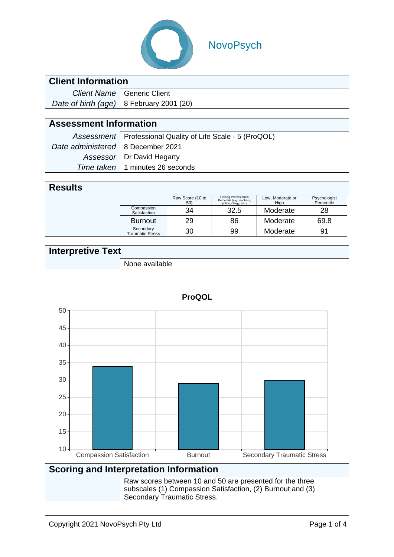

## NovoPsych

### **Client Information**

| Client Name   Generic Client               |  |  |
|--------------------------------------------|--|--|
| Date of birth (age)   8 February 2001 (20) |  |  |

### **Assessment Information**

|                                     | Assessment   Professional Quality of Life Scale - 5 (ProQOL) |
|-------------------------------------|--------------------------------------------------------------|
| Date administered   8 December 2021 |                                                              |
|                                     | Assessor   Dr David Hegarty                                  |
|                                     | Time taken   1 minutes 26 seconds                            |

#### **Results**

|                                      | Raw Score (10 to<br>50) | <b>Helping Professionals</b><br>Percentile (e.g. teachers,<br>police, clergy, etc.) | Low, Moderate or<br>High | Psychologist<br>Percentile |
|--------------------------------------|-------------------------|-------------------------------------------------------------------------------------|--------------------------|----------------------------|
| Compassion<br>Satisfaction           | 34                      | 32.5                                                                                | Moderate                 | 28                         |
| <b>Burnout</b>                       | 29                      | 86                                                                                  | Moderate                 | 69.8                       |
| Secondary<br><b>Traumatic Stress</b> | 30                      | 99                                                                                  | Moderate                 | 91                         |

### **Interpretive Text**

| ملماه<br>None available |
|-------------------------|



#### **ProQOL**

#### **Scoring and Interpretation Information**

Raw scores between 10 and 50 are presented for the three subscales (1) Compassion Satisfaction, (2) Burnout and (3) Secondary Traumatic Stress.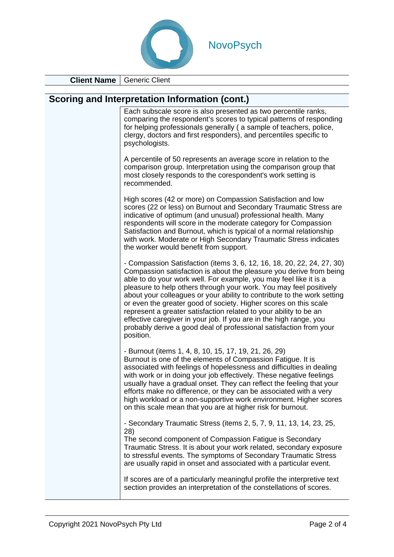

**Client Name** Generic Client

| Scoring and Interpretation Information (cont.)                                                                                                                                                                                                                                                                                                                                                                                                                                                                                                                                                                                                                        |
|-----------------------------------------------------------------------------------------------------------------------------------------------------------------------------------------------------------------------------------------------------------------------------------------------------------------------------------------------------------------------------------------------------------------------------------------------------------------------------------------------------------------------------------------------------------------------------------------------------------------------------------------------------------------------|
| Each subscale score is also presented as two percentile ranks,<br>comparing the respondent's scores to typical patterns of responding<br>for helping professionals generally (a sample of teachers, police,<br>clergy, doctors and first responders), and percentiles specific to<br>psychologists.                                                                                                                                                                                                                                                                                                                                                                   |
| A percentile of 50 represents an average score in relation to the<br>comparison group. Interpretation using the comparison group that<br>most closely responds to the corespondent's work setting is<br>recommended.                                                                                                                                                                                                                                                                                                                                                                                                                                                  |
| High scores (42 or more) on Compassion Satisfaction and low<br>scores (22 or less) on Burnout and Secondary Traumatic Stress are<br>indicative of optimum (and unusual) professional health. Many<br>respondents will score in the moderate category for Compassion<br>Satisfaction and Burnout, which is typical of a normal relationship<br>with work. Moderate or High Secondary Traumatic Stress indicates<br>the worker would benefit from support.                                                                                                                                                                                                              |
| - Compassion Satisfaction (items 3, 6, 12, 16, 18, 20, 22, 24, 27, 30)<br>Compassion satisfaction is about the pleasure you derive from being<br>able to do your work well. For example, you may feel like it is a<br>pleasure to help others through your work. You may feel positively<br>about your colleagues or your ability to contribute to the work setting<br>or even the greater good of society. Higher scores on this scale<br>represent a greater satisfaction related to your ability to be an<br>effective caregiver in your job. If you are in the high range, you<br>probably derive a good deal of professional satisfaction from your<br>position. |
| - Burnout (items 1, 4, 8, 10, 15, 17, 19, 21, 26, 29)<br>Burnout is one of the elements of Compassion Fatigue. It is<br>associated with feelings of hopelessness and difficulties in dealing<br>with work or in doing your job effectively. These negative feelings<br>usually have a gradual onset. They can reflect the feeling that your<br>efforts make no difference, or they can be associated with a very<br>high workload or a non-supportive work environment. Higher scores<br>on this scale mean that you are at higher risk for burnout.                                                                                                                  |
| - Secondary Traumatic Stress (items 2, 5, 7, 9, 11, 13, 14, 23, 25,<br>28)<br>The second component of Compassion Fatigue is Secondary<br>Traumatic Stress. It is about your work related, secondary exposure<br>to stressful events. The symptoms of Secondary Traumatic Stress<br>are usually rapid in onset and associated with a particular event.                                                                                                                                                                                                                                                                                                                 |

If scores are of a particularly meaningful profile the interpretive text section provides an interpretation of the constellations of scores.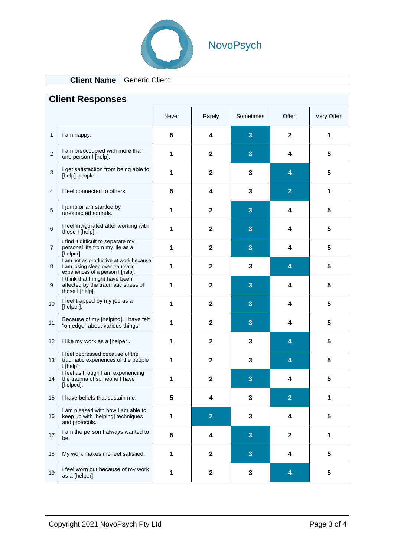

# NovoPsych

## **Client Name** Generic Client

|                |                                                                                                                 | Never | Rarely         | Sometimes      | Often          | Very Often |
|----------------|-----------------------------------------------------------------------------------------------------------------|-------|----------------|----------------|----------------|------------|
| 1              | I am happy.                                                                                                     | 5     | 4              | 3              | $\mathbf{2}$   | 1          |
| $\overline{2}$ | I am preoccupied with more than<br>one person I [help].                                                         | 1     | $\mathbf{2}$   | 3              | 4              | 5          |
| 3              | I get satisfaction from being able to<br>[help] people.                                                         | 1     | $\mathbf{2}$   | 3              | 4              | 5          |
| 4              | I feel connected to others.                                                                                     | 5     | 4              | 3              | $\overline{2}$ | 1          |
| 5              | I jump or am startled by<br>unexpected sounds.                                                                  | 1     | $\mathbf{2}$   | $\overline{3}$ | 4              | 5          |
| 6              | I feel invigorated after working with<br>those I [help].                                                        | 1     | $\mathbf{2}$   | 3              | 4              | 5          |
| $\overline{7}$ | I find it difficult to separate my<br>personal life from my life as a<br>[helper].                              | 1     | $\mathbf{2}$   | 3              | 4              | 5          |
| 8              | I am not as productive at work because<br>I am losing sleep over traumatic<br>experiences of a person I [help]. | 1     | $\mathbf{2}$   | 3              | $\overline{4}$ | 5          |
| 9              | I think that I might have been<br>affected by the traumatic stress of<br>those I [help].                        | 1     | $\mathbf{2}$   | 3              | 4              | 5          |
| 10             | I feel trapped by my job as a<br>[helper].                                                                      | 1     | $\mathbf{2}$   | 3              | 4              | 5          |
| 11             | Because of my [helping], I have felt<br>"on edge" about various things.                                         | 1     | $\mathbf{2}$   | 3              | 4              | 5          |
| 12             | I like my work as a [helper].                                                                                   | 1     | $\mathbf{2}$   | 3              | 4              | 5          |
| 13             | I feel depressed because of the<br>traumatic experiences of the people<br>$ $ [help].                           | 1     | $\mathbf{2}$   | 3              | 4              | 5          |
| 14             | I feel as though I am experiencing<br>the trauma of someone I have<br>[helped].                                 | 1     | $\mathbf{2}$   | 3              | 4              | 5          |
| 15             | I have beliefs that sustain me.                                                                                 | 5     | 4              | 3              | $\overline{2}$ | 1          |
| 16             | I am pleased with how I am able to<br>keep up with [helping] techniques<br>and protocols.                       | 1     | $\overline{2}$ | 3              | 4              | 5          |
| 17             | I am the person I always wanted to<br>be.                                                                       | 5     | 4              | $\overline{3}$ | $\mathbf 2$    | 1          |
| 18             | My work makes me feel satisfied.                                                                                | 1     | $\mathbf{2}$   | $\overline{3}$ | 4              | 5          |
| 19             | I feel worn out because of my work<br>as a [helper].                                                            | 1     | $\mathbf{2}$   | 3              | 4              | 5          |